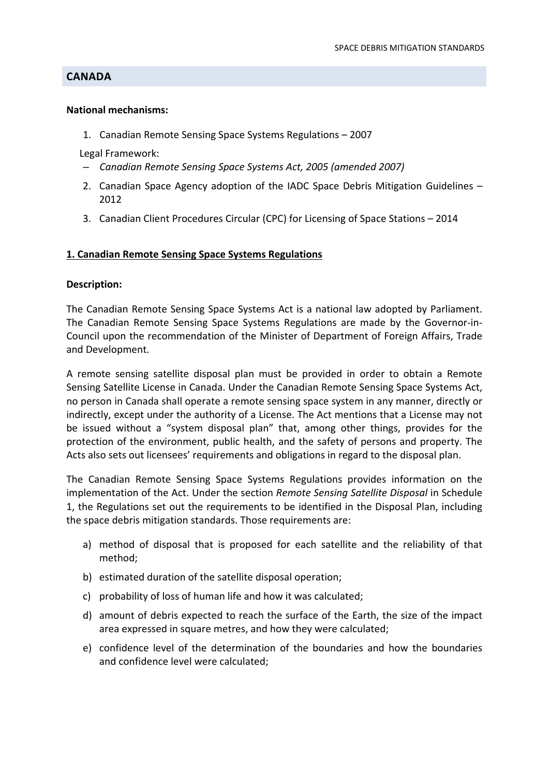# **CANADA**

#### **National mechanisms:**

1. Canadian Remote Sensing Space Systems Regulations – 2007

Legal Framework:

- *Canadian Remote Sensing Space Systems Act, 2005 (amended 2007)*
- 2. Canadian Space Agency adoption of the IADC Space Debris Mitigation Guidelines 2012
- 3. Canadian Client Procedures Circular (CPC) for Licensing of Space Stations 2014

## **1. Canadian Remote Sensing Space Systems Regulations**

## **Description:**

The Canadian Remote Sensing Space Systems Act is a national law adopted by Parliament. The Canadian Remote Sensing Space Systems Regulations are made by the Governor‐in‐ Council upon the recommendation of the Minister of Department of Foreign Affairs, Trade and Development.

A remote sensing satellite disposal plan must be provided in order to obtain a Remote Sensing Satellite License in Canada. Under the Canadian Remote Sensing Space Systems Act, no person in Canada shall operate a remote sensing space system in any manner, directly or indirectly, except under the authority of a License. The Act mentions that a License may not be issued without a "system disposal plan" that, among other things, provides for the protection of the environment, public health, and the safety of persons and property. The Acts also sets out licensees' requirements and obligations in regard to the disposal plan.

The Canadian Remote Sensing Space Systems Regulations provides information on the implementation of the Act. Under the section *Remote Sensing Satellite Disposal* in Schedule 1, the Regulations set out the requirements to be identified in the Disposal Plan, including the space debris mitigation standards. Those requirements are:

- a) method of disposal that is proposed for each satellite and the reliability of that method;
- b) estimated duration of the satellite disposal operation;
- c) probability of loss of human life and how it was calculated;
- d) amount of debris expected to reach the surface of the Earth, the size of the impact area expressed in square metres, and how they were calculated;
- e) confidence level of the determination of the boundaries and how the boundaries and confidence level were calculated;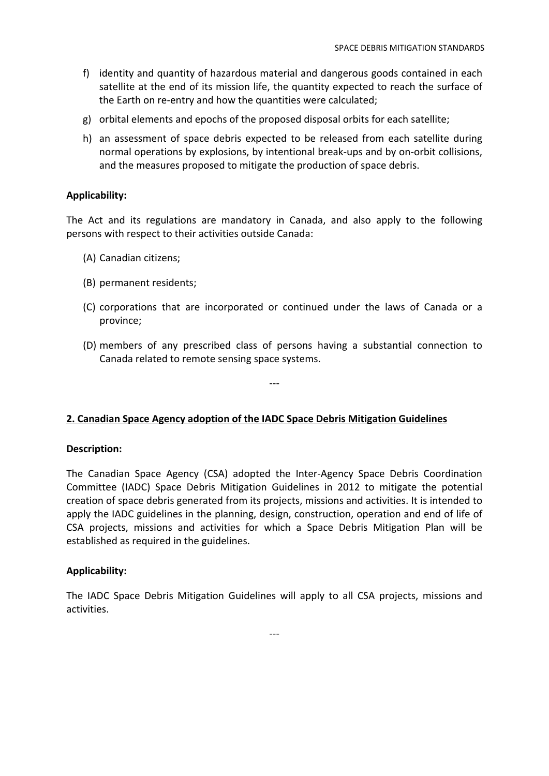- f) identity and quantity of hazardous material and dangerous goods contained in each satellite at the end of its mission life, the quantity expected to reach the surface of the Earth on re-entry and how the quantities were calculated;
- g) orbital elements and epochs of the proposed disposal orbits for each satellite;
- h) an assessment of space debris expected to be released from each satellite during normal operations by explosions, by intentional break‐ups and by on‐orbit collisions, and the measures proposed to mitigate the production of space debris.

## **Applicability:**

The Act and its regulations are mandatory in Canada, and also apply to the following persons with respect to their activities outside Canada:

- (A) Canadian citizens;
- (B) permanent residents;
- (C) corporations that are incorporated or continued under the laws of Canada or a province;
- (D) members of any prescribed class of persons having a substantial connection to Canada related to remote sensing space systems.

‐‐‐

# **2. Canadian Space Agency adoption of the IADC Space Debris Mitigation Guidelines**

#### **Description:**

The Canadian Space Agency (CSA) adopted the Inter‐Agency Space Debris Coordination Committee (IADC) Space Debris Mitigation Guidelines in 2012 to mitigate the potential creation of space debris generated from its projects, missions and activities. It is intended to apply the IADC guidelines in the planning, design, construction, operation and end of life of CSA projects, missions and activities for which a Space Debris Mitigation Plan will be established as required in the guidelines.

#### **Applicability:**

The IADC Space Debris Mitigation Guidelines will apply to all CSA projects, missions and activities.

‐‐‐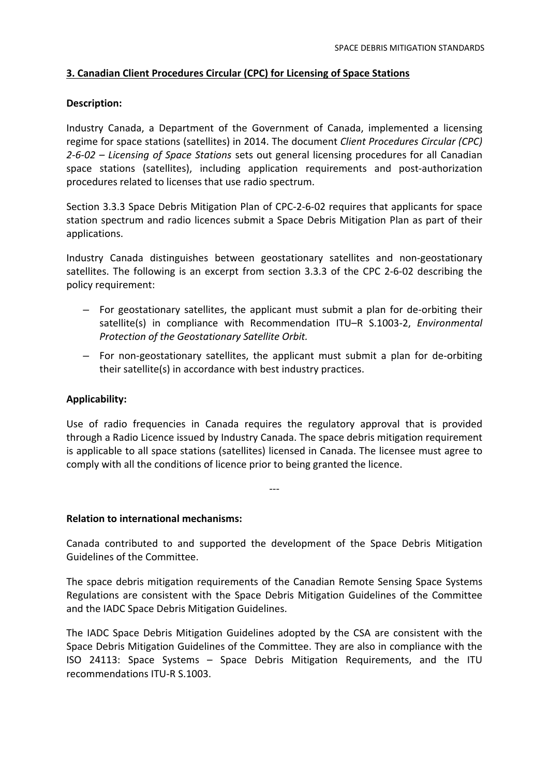# **3. Canadian Client Procedures Circular (CPC) for Licensing of Space Stations**

## **Description:**

Industry Canada, a Department of the Government of Canada, implemented a licensing regime for space stations (satellites) in 2014. The document *Client Procedures Circular (CPC) 2‐6‐02 – Licensing of Space Stations* sets out general licensing procedures for all Canadian space stations (satellites), including application requirements and post-authorization procedures related to licenses that use radio spectrum.

Section 3.3.3 Space Debris Mitigation Plan of CPC‐2‐6‐02 requires that applicants for space station spectrum and radio licences submit a Space Debris Mitigation Plan as part of their applications.

Industry Canada distinguishes between geostationary satellites and non‐geostationary satellites. The following is an excerpt from section 3.3.3 of the CPC 2‐6‐02 describing the policy requirement:

- For geostationary satellites, the applicant must submit a plan for de‐orbiting their satellite(s) in compliance with Recommendation ITU–R S.1003‐2, *Environmental Protection of the Geostationary Satellite Orbit.*
- For non‐geostationary satellites, the applicant must submit a plan for de‐orbiting their satellite(s) in accordance with best industry practices.

# **Applicability:**

Use of radio frequencies in Canada requires the regulatory approval that is provided through a Radio Licence issued by Industry Canada. The space debris mitigation requirement is applicable to all space stations (satellites) licensed in Canada. The licensee must agree to comply with all the conditions of licence prior to being granted the licence.

‐‐‐

## **Relation to international mechanisms:**

Canada contributed to and supported the development of the Space Debris Mitigation Guidelines of the Committee.

The space debris mitigation requirements of the Canadian Remote Sensing Space Systems Regulations are consistent with the Space Debris Mitigation Guidelines of the Committee and the IADC Space Debris Mitigation Guidelines.

The IADC Space Debris Mitigation Guidelines adopted by the CSA are consistent with the Space Debris Mitigation Guidelines of the Committee. They are also in compliance with the ISO 24113: Space Systems – Space Debris Mitigation Requirements, and the ITU recommendations ITU‐R S.1003.